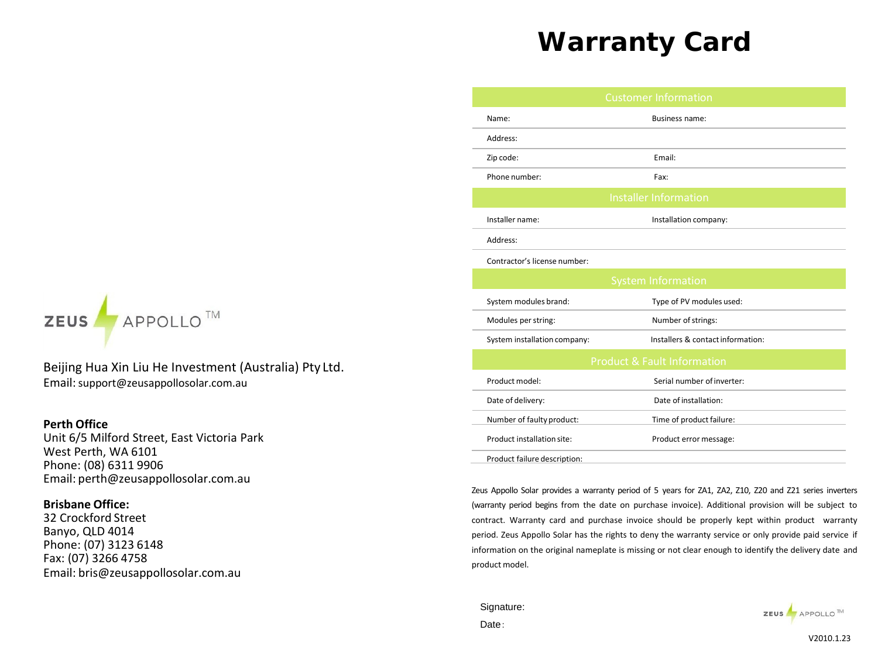# **Warranty Card**



Beijing Hua Xin Liu He Investment (Australia) Pty Ltd. Email:support@zeusappollosolar.com.au

## **Perth Office**

Unit 6/5 Milford Street, East Victoria Park West Perth, WA 6101 Phone: (08) 6311 9906 Email: [perth@zeusappollosolar.com.au](mailto:perth@zeusappollosolar.com.au)

### **Brisbane Office:**

32 Crockford Street Banyo, QLD 4014 Phone: (07) 3123 6148 Fax: (07) 3266 4758 Email: [bris@zeusappollosolar.com.au](mailto:bris@zeusappollosolar.com.au)

|                              | <b>Customer Information</b>            |
|------------------------------|----------------------------------------|
| Name:                        | Business name:                         |
| Address:                     |                                        |
| Zip code:                    | Email:                                 |
| Phone number:                | Fax:                                   |
|                              | <b>Installer Information</b>           |
| Installer name:              | Installation company:                  |
| Address:                     |                                        |
| Contractor's license number: |                                        |
|                              | <b>System Information</b>              |
| System modules brand:        | Type of PV modules used:               |
| Modules per string:          | Number of strings:                     |
| System installation company: | Installers & contact information:      |
|                              | <b>Product &amp; Fault Information</b> |
| Product model:               | Serial number of inverter:             |
| Date of delivery:            | Date of installation:                  |
| Number of faulty product:    | Time of product failure:               |
| Product installation site:   | Product error message:                 |
| Product failure description: |                                        |

Zeus Appollo Solar provides a warranty period of 5 years for ZA1, ZA2, Z10, Z20 and Z21 series inverters (warranty period begins from the date on purchase invoice). Additional provision will be subject to contract. Warranty card and purchase invoice should be properly kept within product warranty period. Zeus Appollo Solar has the rights to deny the warranty service or only provide paid service if information on the original nameplate is missing or not clear enough to identify the delivery date and product model.

Signature: Date:



V2010.1.23